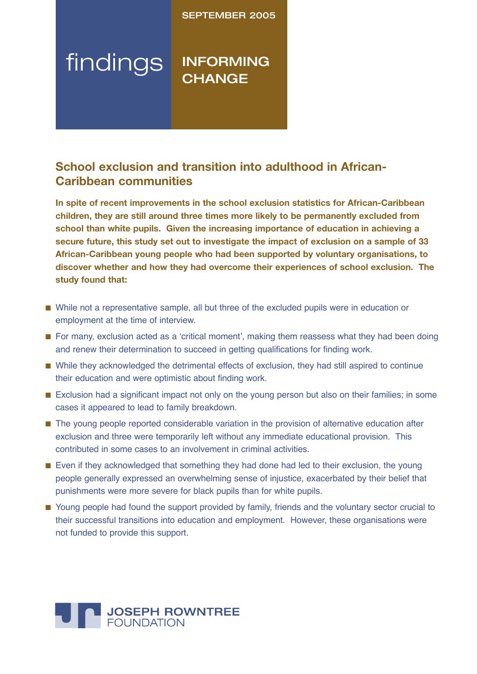# SEPTEMBER 2005

# findings INFORMING **CHANGE**

# **School exclusion and transition into adulthood in African-Caribbean communities**

**In spite of recent improvements in the school exclusion statistics for African-Caribbean children, they are still around three times more likely to be permanently excluded from school than white pupils. Given the increasing importance of education in achieving a secure future, this study set out to investigate the impact of exclusion on a sample of 33 African-Caribbean young people who had been supported by voluntary organisations, to discover whether and how they had overcome their experiences of school exclusion. The study found that:**

- While not a representative sample, all but three of the excluded pupils were in education or employment at the time of interview.
- For many, exclusion acted as a 'critical moment', making them reassess what they had been doing and renew their determination to succeed in getting qualifications for finding work.
- While they acknowledged the detrimental effects of exclusion, they had still aspired to continue their education and were optimistic about finding work.
- Exclusion had a significant impact not only on the young person but also on their families; in some cases it appeared to lead to family breakdown.
- The young people reported considerable variation in the provision of alternative education after exclusion and three were temporarily left without any immediate educational provision. This contributed in some cases to an involvement in criminal activities.
- Even if they acknowledged that something they had done had led to their exclusion, the young people generally expressed an overwhelming sense of injustice, exacerbated by their belief that punishments were more severe for black pupils than for white pupils.
- Young people had found the support provided by family, friends and the voluntary sector crucial to their successful transitions into education and employment. However, these organisations were not funded to provide this support.

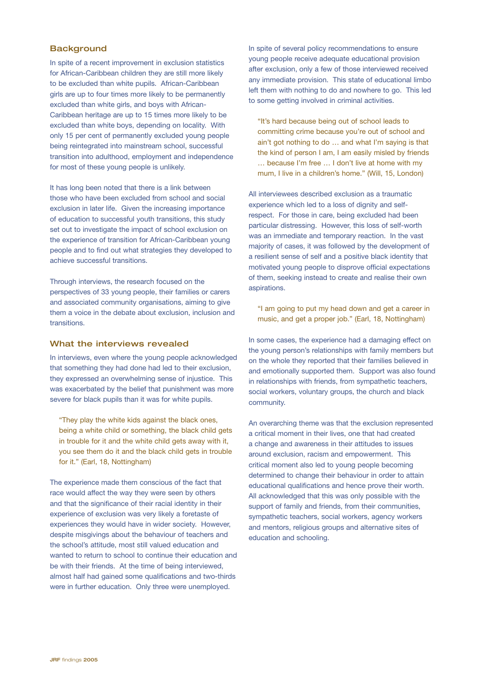# **Background**

In spite of a recent improvement in exclusion statistics for African-Caribbean children they are still more likely to be excluded than white pupils. African-Caribbean girls are up to four times more likely to be permanently excluded than white girls, and boys with African-Caribbean heritage are up to 15 times more likely to be excluded than white boys, depending on locality. With only 15 per cent of permanently excluded young people being reintegrated into mainstream school, successful transition into adulthood, employment and independence for most of these young people is unlikely.

It has long been noted that there is a link between those who have been excluded from school and social exclusion in later life. Given the increasing importance of education to successful youth transitions, this study set out to investigate the impact of school exclusion on the experience of transition for African-Caribbean young people and to find out what strategies they developed to achieve successful transitions.

Through interviews, the research focused on the perspectives of 33 young people, their families or carers and associated community organisations, aiming to give them a voice in the debate about exclusion, inclusion and transitions.

#### What the interviews revealed

In interviews, even where the young people acknowledged that something they had done had led to their exclusion, they expressed an overwhelming sense of injustice. This was exacerbated by the belief that punishment was more severe for black pupils than it was for white pupils.

"They play the white kids against the black ones, being a white child or something, the black child gets in trouble for it and the white child gets away with it, you see them do it and the black child gets in trouble for it." (Earl, 18, Nottingham)

The experience made them conscious of the fact that race would affect the way they were seen by others and that the significance of their racial identity in their experience of exclusion was very likely a foretaste of experiences they would have in wider society. However, despite misgivings about the behaviour of teachers and the school's attitude, most still valued education and wanted to return to school to continue their education and be with their friends. At the time of being interviewed, almost half had gained some qualifications and two-thirds were in further education. Only three were unemployed.

In spite of several policy recommendations to ensure young people receive adequate educational provision after exclusion, only a few of those interviewed received any immediate provision. This state of educational limbo left them with nothing to do and nowhere to go. This led to some getting involved in criminal activities.

"It's hard because being out of school leads to committing crime because you're out of school and ain't got nothing to do … and what I'm saying is that the kind of person I am, I am easily misled by friends … because I'm free … I don't live at home with my mum, I live in a children's home." (Will, 15, London)

All interviewees described exclusion as a traumatic experience which led to a loss of dignity and selfrespect. For those in care, being excluded had been particular distressing. However, this loss of self-worth was an immediate and temporary reaction. In the vast majority of cases, it was followed by the development of a resilient sense of self and a positive black identity that motivated young people to disprove official expectations of them, seeking instead to create and realise their own aspirations.

"I am going to put my head down and get a career in music, and get a proper job." (Earl, 18, Nottingham)

In some cases, the experience had a damaging effect on the young person's relationships with family members but on the whole they reported that their families believed in and emotionally supported them. Support was also found in relationships with friends, from sympathetic teachers, social workers, voluntary groups, the church and black community.

An overarching theme was that the exclusion represented a critical moment in their lives, one that had created a change and awareness in their attitudes to issues around exclusion, racism and empowerment. This critical moment also led to young people becoming determined to change their behaviour in order to attain educational qualifications and hence prove their worth. All acknowledged that this was only possible with the support of family and friends, from their communities, sympathetic teachers, social workers, agency workers and mentors, religious groups and alternative sites of education and schooling.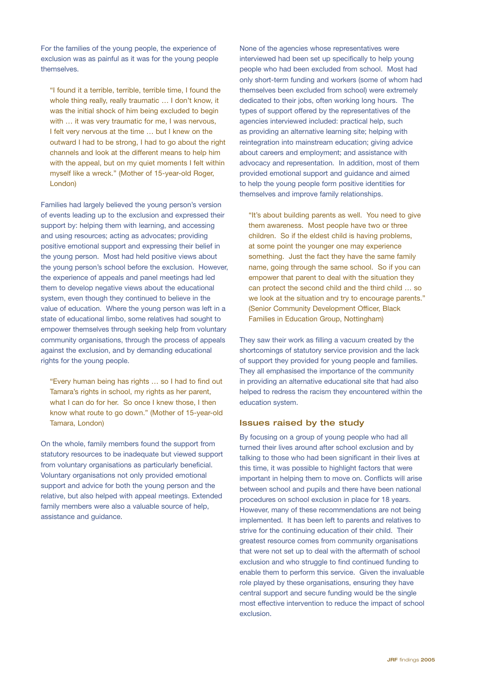For the families of the young people, the experience of exclusion was as painful as it was for the young people themselves.

"I found it a terrible, terrible, terrible time, I found the whole thing really, really traumatic ... I don't know, it was the initial shock of him being excluded to begin with ... it was very traumatic for me. I was nervous, I felt very nervous at the time … but I knew on the outward I had to be strong, I had to go about the right channels and look at the different means to help him with the appeal, but on my quiet moments I felt within myself like a wreck." (Mother of 15-year-old Roger, London)

Families had largely believed the young person's version of events leading up to the exclusion and expressed their support by: helping them with learning, and accessing and using resources; acting as advocates; providing positive emotional support and expressing their belief in the young person. Most had held positive views about the young person's school before the exclusion. However, the experience of appeals and panel meetings had led them to develop negative views about the educational system, even though they continued to believe in the value of education. Where the young person was left in a state of educational limbo, some relatives had sought to empower themselves through seeking help from voluntary community organisations, through the process of appeals against the exclusion, and by demanding educational rights for the young people.

"Every human being has rights … so I had to find out Tamara's rights in school, my rights as her parent, what I can do for her. So once I knew those, I then know what route to go down." (Mother of 15-year-old Tamara, London)

On the whole, family members found the support from statutory resources to be inadequate but viewed support from voluntary organisations as particularly beneficial. Voluntary organisations not only provided emotional support and advice for both the young person and the relative, but also helped with appeal meetings. Extended family members were also a valuable source of help, assistance and guidance.

None of the agencies whose representatives were interviewed had been set up specifically to help young people who had been excluded from school. Most had only short-term funding and workers (some of whom had themselves been excluded from school) were extremely dedicated to their jobs, often working long hours. The types of support offered by the representatives of the agencies interviewed included: practical help, such as providing an alternative learning site; helping with reintegration into mainstream education; giving advice about careers and employment; and assistance with advocacy and representation. In addition, most of them provided emotional support and guidance and aimed to help the young people form positive identities for themselves and improve family relationships.

"It's about building parents as well. You need to give them awareness. Most people have two or three children. So if the eldest child is having problems, at some point the younger one may experience something. Just the fact they have the same family name, going through the same school. So if you can empower that parent to deal with the situation they can protect the second child and the third child … so we look at the situation and try to encourage parents." (Senior Community Development Officer, Black Families in Education Group, Nottingham)

They saw their work as filling a vacuum created by the shortcomings of statutory service provision and the lack of support they provided for young people and families. They all emphasised the importance of the community in providing an alternative educational site that had also helped to redress the racism they encountered within the education system.

# Issues raised by the study

By focusing on a group of young people who had all turned their lives around after school exclusion and by talking to those who had been significant in their lives at this time, it was possible to highlight factors that were important in helping them to move on. Conflicts will arise between school and pupils and there have been national procedures on school exclusion in place for 18 years. However, many of these recommendations are not being implemented. It has been left to parents and relatives to strive for the continuing education of their child. Their greatest resource comes from community organisations that were not set up to deal with the aftermath of school exclusion and who struggle to find continued funding to enable them to perform this service. Given the invaluable role played by these organisations, ensuring they have central support and secure funding would be the single most effective intervention to reduce the impact of school exclusion.